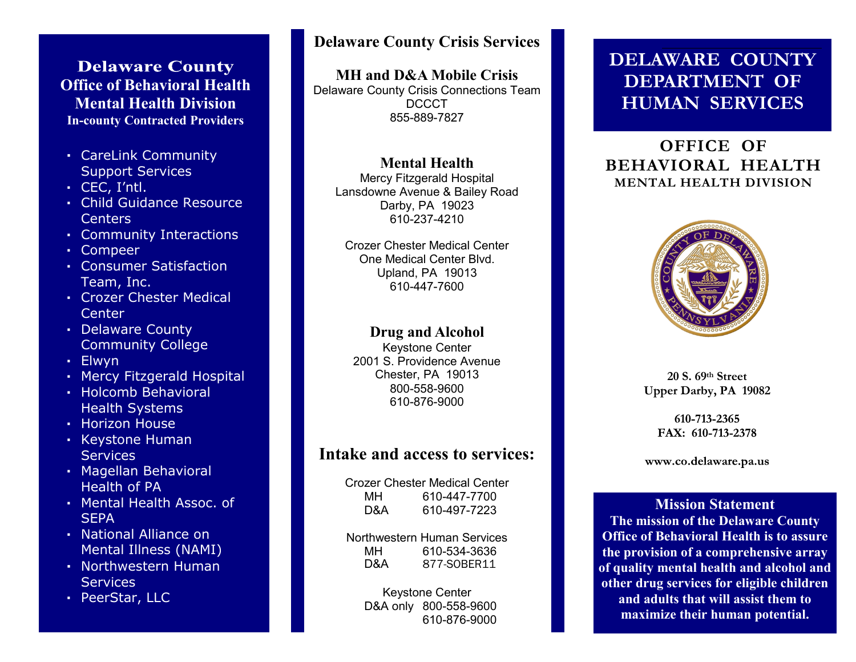## **Delaware County Office of Behavioral Health Mental Health Division In-county Contracted Providers**

- **·** CareLink Community Support Services
- **·** CEC, I'ntl.
- **·** Child Guidance Resource Centers
- **·** Community Interactions
- **·** Compeer
- **·** Consumer Satisfaction Team, Inc.
- **·** Crozer Chester Medical **Center**
- **·** Delaware County Community College
- **·** Elwyn
- **·** Mercy Fitzgerald Hospital
- **·** Holcomb Behavioral Health Systems
- **·** Horizon House
- **·** Keystone Human **Services**
- **·** Magellan Behavioral Health of PA
- **·** Mental Health Assoc. of **SEPA**
- **·** National Alliance on Mental Illness (NAMI)
- **·** Northwestern Human **Services**
- **·** PeerStar, LLC

## **Delaware County Crisis Services**

**MH and D&A Mobile Crisis**

Delaware County Crisis Connections Team DCCCT 855-889-7827

## **Mental Health**

Mercy Fitzgerald Hospital Lansdowne Avenue & Bailey Road Darby, PA 19023 610-237-4210

Crozer Chester Medical Center One Medical Center Blvd. Upland, PA 19013 610-447-7600

### **Drug and Alcohol**

Keystone Center 2001 S. Providence Avenue Chester, PA 19013 800-558-9600 610-876-9000

## **Intake and access to services:**

Crozer Chester Medical Center MH 610-447-7700 D&A 610-497-7223

Northwestern Human Services MH 610-534-3636 D&A 877-SOBER11

> Keystone Center D&A only 800-558-9600 610-876-9000

## **DELAWARE COUNTY DEPARTMENT OF HUMAN SERVICES**

## **OFFICE OF BEHAVIORAL HEALTH MENTAL HEALTH DIVISION**



**20 S. 69th Street Upper Darby, PA 19082**

> 610-713-2365 FAX: 610-713-2378

www.co.delaware.pa.us

**Mission Statement The mission of the Delaware County Office of Behavioral Health is to assure the provision of a comprehensive array of quality mental health and alcohol and other drug services for eligible children and adults that will assist them to maximize their human potential.**